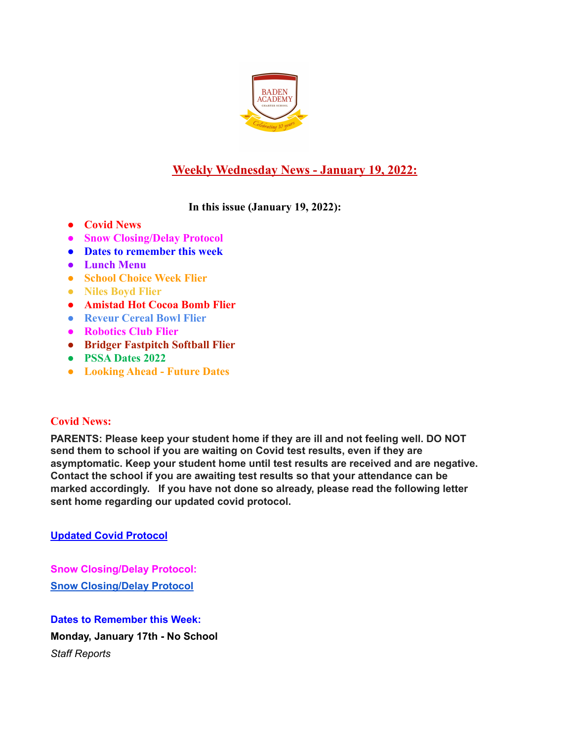

# **Weekly Wednesday News - January 19, 2022:**

**In this issue (January 19, 2022):**

- **● Covid News**
- **● Snow Closing/Delay Protocol**
- **● Dates to remember this week**
- **● Lunch Menu**
- **● School Choice Week Flier**
- **● Niles Boyd Flier**
- **● Amistad Hot Cocoa Bomb Flier**
- **● Reveur Cereal Bowl Flier**
- **● Robotics Club Flier**
- **● Bridger Fastpitch Softball Flier**
- **● PSSA Dates 2022**
- **● Looking Ahead Future Dates**

# **Covid News:**

**PARENTS: Please keep your student home if they are ill and not feeling well. DO NOT send them to school if you are waiting on Covid test results, even if they are asymptomatic. Keep your student home until test results are received and are negative. Contact the school if you are awaiting test results so that your attendance can be marked accordingly. If you have not done so already, please read the following letter sent home regarding our updated covid protocol.**

**Updated Covid [Protocol](https://docs.google.com/document/d/1MZOfqQyHxK0uiJCWtP7Aq6GAK19-1s4aJ-rMMfStPco/edit?usp=sharing)**

**Snow Closing/Delay Protocol: Snow [Closing/Delay](https://docs.google.com/document/d/1TCXw_1OpX5C2j8ZTfeD61I61bbe-MxUwfsijlciAKfo/edit?usp=sharing) Protocol**

**Dates to Remember this Week: Monday, January 17th - No School** *Staff Reports*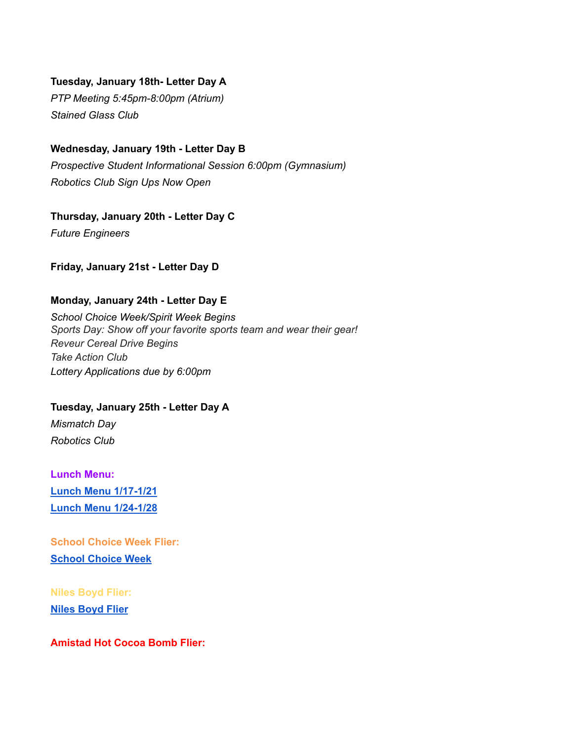#### **Tuesday, January 18th- Letter Day A**

*PTP Meeting 5:45pm-8:00pm (Atrium) Stained Glass Club*

#### **Wednesday, January 19th - Letter Day B**

*Prospective Student Informational Session 6:00pm (Gymnasium) Robotics Club Sign Ups Now Open*

**Thursday, January 20th - Letter Day C**

*Future Engineers*

#### **Friday, January 21st - Letter Day D**

#### **Monday, January 24th - Letter Day E**

*School Choice Week/Spirit Week Begins Sports Day: Show off your favorite sports team and wear their gear! Reveur Cereal Drive Begins Take Action Club Lottery Applications due by 6:00pm*

**Tuesday, January 25th - Letter Day A** *Mismatch Day Robotics Club*

**Lunch Menu: Lunch Menu [1/17-1/21](https://docs.google.com/document/d/1qbIq1rIXk9yB1MRdbp-9cjFEsZx9BrIbn_NK4sZoNkc/edit?usp=sharing) Lunch Menu [1/24-1/28](https://docs.google.com/document/d/1jyvkyvxWEhhUcUfcFZZ5cSitt_kI9F_UuFyD-iqE2iA/edit?usp=sharing)**

**School Choice Week Flier: School [Choice](https://docs.google.com/document/d/1z7SjFrKdy4j4hIiYIo1qSvDh0M61E8e-AYJeb8zOWSI/edit?usp=sharing) Week**

**Niles Boyd Flier: Niles [Boyd](https://bit.ly/3zTq6vl) Flier**

**Amistad Hot Cocoa Bomb Flier:**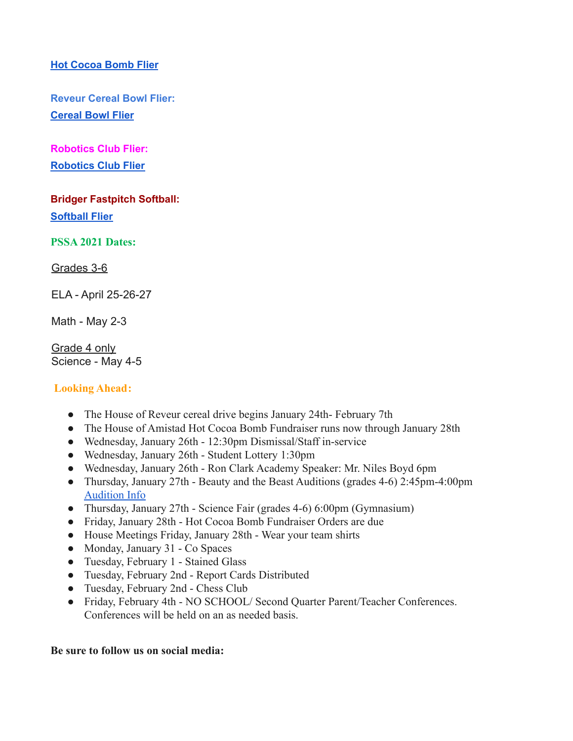## **Hot [Cocoa](https://docs.google.com/document/d/1CTcTGUP6DbUJoZXxjH61VNoQQKjY5mI6DXt2bnsZ4xE/edit?usp=sharing) Bomb Flier**

**Reveur Cereal Bowl Flier: [Cereal](https://docs.google.com/document/d/1m_v2nOAjnovpUD-HaWvyCgitHQqRsT3uy84dKB1TzHM/edit?usp=sharing) Bowl Flier**

**Robotics Club Flier: [Robotics](https://docs.google.com/document/d/1j4BTbLE8y8qGa-WZNNXnVX0xVO0KDqT6BBPgr7A0oBU/edit?usp=sharing) Club Flier**

**Bridger Fastpitch Softball: [Softball](https://docs.google.com/document/d/1roOHiV56Ga7AV__svKhwCw_3te7LvXVq66qLlC-QxP8/edit?usp=sharing) Flier**

**PSSA 2021 Dates:**

Grades 3-6

ELA - April 25-26-27

Math - May 2-3

Grade 4 only Science - May 4-5

### **Looking Ahead:**

- The House of Reveur cereal drive begins January 24th- February 7th
- The House of Amistad Hot Cocoa Bomb Fundraiser runs now through January 28th
- Wednesday, January 26th 12:30pm Dismissal/Staff in-service
- Wednesday, January 26th Student Lottery 1:30pm
- Wednesday, January 26th Ron Clark Academy Speaker: Mr. Niles Boyd 6pm
- Thursday, January 27th Beauty and the Beast Auditions (grades 4-6) 2:45pm-4:00pm [Audition Info](https://docs.google.com/document/d/1QUWpEFryvRC6hqilpH4axueAP5UH9GHZzilB0WiLyJ8/edit?usp=sharing)
- Thursday, January 27th Science Fair (grades 4-6) 6:00pm (Gymnasium)
- Friday, January 28th Hot Cocoa Bomb Fundraiser Orders are due
- House Meetings Friday, January 28th Wear your team shirts
- Monday, January 31 Co Spaces
- Tuesday, February 1 Stained Glass
- Tuesday, February 2nd Report Cards Distributed
- Tuesday, February 2nd Chess Club
- Friday, February 4th NO SCHOOL/ Second Quarter Parent/Teacher Conferences. Conferences will be held on an as needed basis.

#### **Be sure to follow us on social media:**